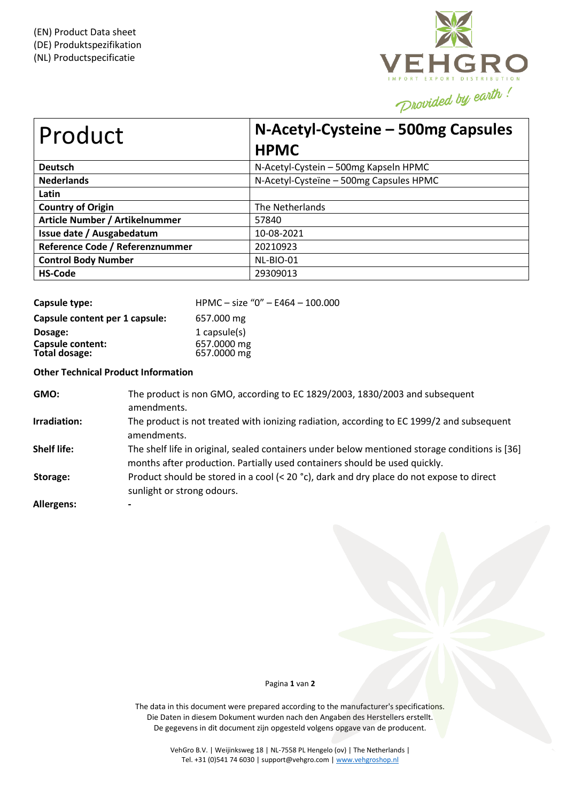

| Product                         | N-Acetyl-Cysteine - 500mg Capsules<br><b>HPMC</b> |  |  |
|---------------------------------|---------------------------------------------------|--|--|
| <b>Deutsch</b>                  | N-Acetyl-Cystein - 500mg Kapseln HPMC             |  |  |
| <b>Nederlands</b>               | N-Acetyl-Cysteïne - 500mg Capsules HPMC           |  |  |
| Latin                           |                                                   |  |  |
| <b>Country of Origin</b>        | The Netherlands                                   |  |  |
| Article Number / Artikelnummer  | 57840                                             |  |  |
| Issue date / Ausgabedatum       | 10-08-2021                                        |  |  |
| Reference Code / Referenznummer | 20210923                                          |  |  |
| <b>Control Body Number</b>      | NL-BIO-01                                         |  |  |
| <b>HS-Code</b>                  | 29309013                                          |  |  |

| Capsule type:                     | HPMC - size "0" - E464 - 100.000 |
|-----------------------------------|----------------------------------|
| Capsule content per 1 capsule:    | 657.000 mg                       |
| Dosage:                           | 1 capsule $(s)$                  |
| Capsule content:<br>Total dosage: | 657.0000 mg<br>657.0000 mg       |

**Other Technical Product Information**

| GMO:               | The product is non GMO, according to EC 1829/2003, 1830/2003 and subsequent<br>amendments.                                                                                   |
|--------------------|------------------------------------------------------------------------------------------------------------------------------------------------------------------------------|
| Irradiation:       | The product is not treated with ionizing radiation, according to EC 1999/2 and subsequent<br>amendments.                                                                     |
| <b>Shelf life:</b> | The shelf life in original, sealed containers under below mentioned storage conditions is [36]<br>months after production. Partially used containers should be used quickly. |
| Storage:           | Product should be stored in a cool (< 20 $^{\circ}$ c), dark and dry place do not expose to direct<br>sunlight or strong odours.                                             |
| Allergens:         | $\blacksquare$                                                                                                                                                               |

## Pagina **1** van **2**

The data in this document were prepared according to the manufacturer's specifications. Die Daten in diesem Dokument wurden nach den Angaben des Herstellers erstellt. De gegevens in dit document zijn opgesteld volgens opgave van de producent.